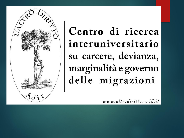

Centro di ricerca interuniversitario su carcere, devianza, marginalità e governo delle migrazioni

www.altrodiritto.unifi.it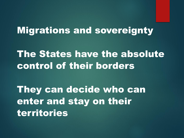#### Migrations and sovereignty

#### The States have the absolute control of their borders

They can decide who can enter and stay on their territories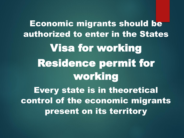Economic migrants should be authorized to enter in the States Visa for working Residence permit for working Every state is in theoretical control of the economic migrants present on its territory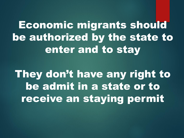Economic migrants should be authorized by the state to enter and to stay

They don't have any right to be admit in a state or to receive an staying permit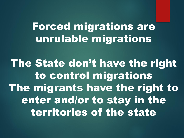## Forced migrations are unrulable migrations

The State don't have the right to control migrations The migrants have the right to enter and/or to stay in the territories of the state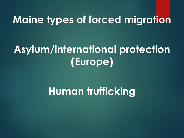## **Maine types of forced migration**

## **Asylum/international protection (Europe)**

## **Human trufficking**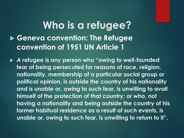#### **Who is a refugee? Geneva convention: The Refugee convention of 1951 UN Article 1**

 *A* **refugee is any person who "owing to well-founded fear of being persecuted for reasons of race, religion, nationality, membership of a particular social group or political opinion, is outside the country of his nationality and is unable or, owing to such fear, is unwilling to avail himself of the protection of that country; or who, not having a nationality and being outside the country of his former habitual residence as a result of such events, is unable or, owing to such fear, is unwilling to return to it".**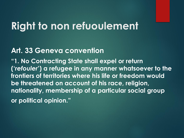#### **Right to non refuoulement**

#### **Art. 33 Geneva convention**

**"1. No Contracting State shall expel or return ('***refouler***') a refugee in any manner whatsoever to the frontiers of territories where his life or freedom would be threatened on account of his race, religion, nationality, membership of a particular social group or political opinion."**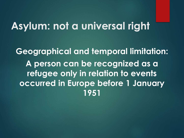#### **Asylum: not a universal right**

**Geographical and temporal limitation: A person can be recognized as a refugee only in relation to events occurred in Europe before 1 January 1951**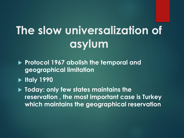# **The slow universalization of asylum**

- **Protocol 1967 abolish the temporal and geographical limitation**
- **Italy 1990**
- **Today: only few states maintains the reservation , the most important case is Turkey which maintains the geographical reservation**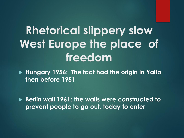# **Rhetorical slippery slow West Europe the place of freedom**

 **Hungary 1956: The fact had the origin in Yalta then before 1951**

 **Berlin wall 1961: the walls were constructed to prevent people to go out, today to enter**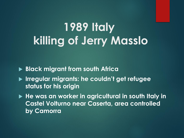# **1989 Italy killing of Jerry Masslo**

**Black migrant from south Africa**

- **Irregular migrants: he couldn't get refugee status for his origin**
- ▶ He was an worker in agricultural in south Italy in **Castel Volturno near Caserta, area controlled by Camorra**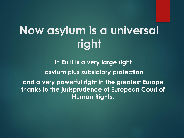# **Now asylum is a universal right**

**In Eu it is a very large right asylum plus subsidiary protection and a very powerful right in the greatest Europe thanks to the jurisprudence of European Court of Human Rights.**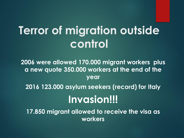# **Terror of migration outside control**

**2006 were allowed 170.000 migrant workers plus a new quote 350.000 workers at the end of the year 2016 123.000 asylum seekers (record) for Italy Invasion!!!**

**17.850 migrant allowed to receive the visa as workers**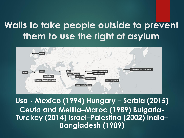#### **Walls to take people outside to prevent them to use the right of asylum**



**Usa - Mexico (1994) Hungary – Serbia (2015) Ceuta and Melilla–Maroc (1989) Bulgaria-Turckey (2014) Israel–Palestina (2002) India– Bangladesh (1989)**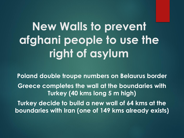**New Walls to prevent afghani people to use the right of asylum**

**Poland double troupe numbers on Belaurus border Greece completes the wall at the boundaries with Turkey (40 kms long 5 m high) Turkey decide to build a new wall of 64 kms at the boundaries with Iran (one of 149 kms already exists)**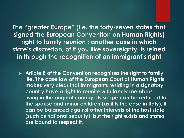**The "greater Europe" (i.e. the forty-seven states that signed the European Convention on Human Rights) right to family reunion : another case in which state's discretion, of if you like sovereignty, is reined in through the recognition of an immigrant's right**

 **Article 8 of the Convention recognises the right to family life. The case law of the European Court of Human Rights makes very clear that immigrants residing in a signatory country have a right to reunite with family members living in the original country. Its scope can be reduced to the spouse and minor children (as it is the case in Italy), it can be balanced against other interests of the host state (such as national security), but the right exists and states are bound to respect it.**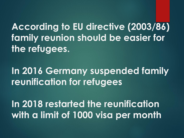**According to EU directive (2003/86) family reunion should be easier for the refugees.**

**In 2016 Germany suspended family reunification for refugees**

**In 2018 restarted the reunification with a limit of 1000 visa per month**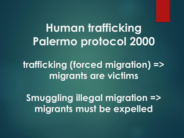# **Human trafficking Palermo protocol 2000**

**trafficking (forced migration) => migrants are victims**

**Smuggling illegal migration => migrants must be expelled**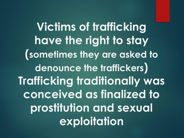**Victims of trafficking have the right to stay (sometimes they are asked to denounce the traffickers) Trafficking traditionally was conceived as finalized to prostitution and sexual exploitation**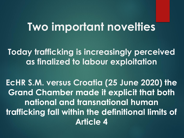## **Two important novelties**

**Today trafficking is increasingly perceived as finalized to labour exploitation**

**EcHR S.M. versus Croatia (25 June 2020) the Grand Chamber made it explicit that both national and transnational human trafficking fall within the definitional limits of Article 4**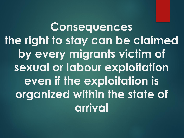**Consequences the right to stay can be claimed by every migrants victim of sexual or labour exploitation even if the exploitation is organized within the state of arrival**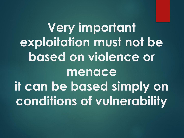**Very important exploitation must not be based on violence or menace it can be based simply on conditions of vulnerability**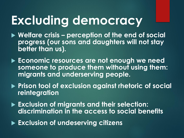# **Excluding democracy**

- **Welfare crisis – perception of the end of social progress (our sons and daughters will not stay better than us).**
- **Economic resources are not enough we need someone to produce them without using them: migrants and underserving people.**
- **Prison tool of exclusion against rhetoric of social reintegration**
- **Exclusion of migrants and their selection: discrimination in the access to social benefits**
- **Exclusion of undeserving citizens**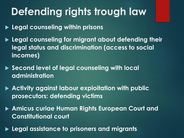## **Defending rights trough law**

**Legal counseling within prisons**

- **Legal counseling for migrant about defending their legal status and discrimination (access to social incomes)**
- ▶ Second level of legal counseling with local **administration**
- **Activity against labour exploitation with public prosecutors: defending victims**
- **Amicus curiae Human Rights European Court and Constitutional court**
- **Legal assistance to prisoners and migrants**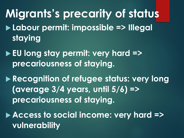**Migrants's precarity of status Labour permit: impossible => Illegal staying**

 **EU long stay permit: very hard => precariousness of staying.**

 **Recognition of refugee status: very long (average 3/4 years, until 5/6) => precariousness of staying.**

 **Access to social income: very hard => vulnerability**